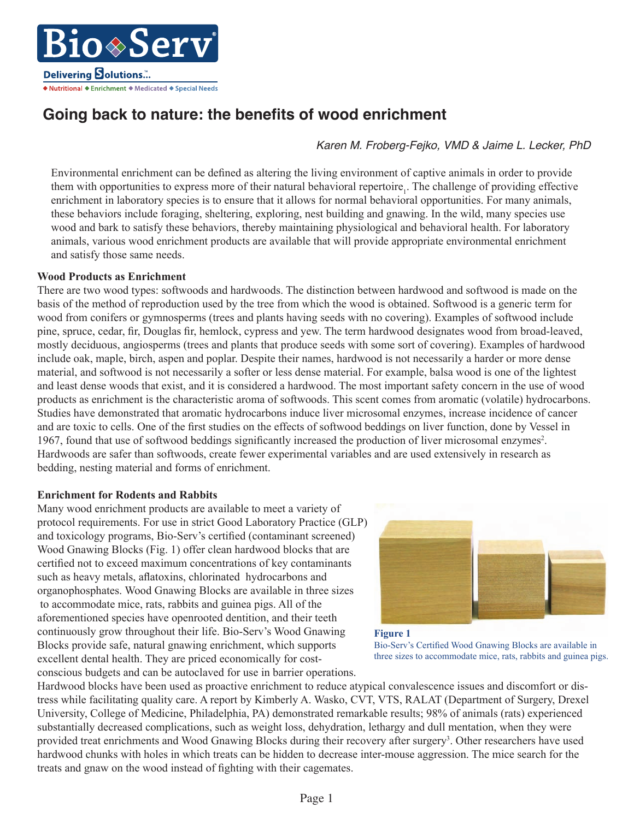o⊗Serv **Delivering Solutions...** ◆ Nutritional ◆ Enrichment ◆ Medicated ◆ Special Needs

# Going back to nature: the benefits of wood enrichment

*Karen M. Froberg-Fejko, VMD & Jaime L. Lecker, PhD*

Environmental enrichment can be defined as altering the living environment of captive animals in order to provide them with opportunities to express more of their natural behavioral repertoire<sub>1</sub>. The challenge of providing effective enrichment in laboratory species is to ensure that it allows for normal behavioral opportunities. For many animals, these behaviors include foraging, sheltering, exploring, nest building and gnawing. In the wild, many species use wood and bark to satisfy these behaviors, thereby maintaining physiological and behavioral health. For laboratory animals, various wood enrichment products are available that will provide appropriate environmental enrichment and satisfy those same needs.

## **Wood Products as Enrichment**

There are two wood types: softwoods and hardwoods. The distinction between hardwood and softwood is made on the basis of the method of reproduction used by the tree from which the wood is obtained. Softwood is a generic term for wood from conifers or gymnosperms (trees and plants having seeds with no covering). Examples of softwood include pine, spruce, cedar, fir, Douglas fir, hemlock, cypress and yew. The term hardwood designates wood from broad-leaved, mostly deciduous, angiosperms (trees and plants that produce seeds with some sort of covering). Examples of hardwood include oak, maple, birch, aspen and poplar. Despite their names, hardwood is not necessarily a harder or more dense material, and softwood is not necessarily a softer or less dense material. For example, balsa wood is one of the lightest and least dense woods that exist, and it is considered a hardwood. The most important safety concern in the use of wood products as enrichment is the characteristic aroma of softwoods. This scent comes from aromatic (volatile) hydrocarbons. Studies have demonstrated that aromatic hydrocarbons induce liver microsomal enzymes, increase incidence of cancer and are toxic to cells. One of the first studies on the effects of softwood beddings on liver function, done by Vessel in 1967, found that use of softwood beddings significantly increased the production of liver microsomal enzymes<sup>2</sup>. Hardwoods are safer than softwoods, create fewer experimental variables and are used extensively in research as bedding, nesting material and forms of enrichment.

## **Enrichment for Rodents and Rabbits**

Many wood enrichment products are available to meet a variety of protocol requirements. For use in strict Good Laboratory Practice (GLP) and toxicology programs, Bio-Serv's certified (contaminant screened) Wood Gnawing Blocks (Fig. 1) offer clean hardwood blocks that are certified not to exceed maximum concentrations of key contaminants such as heavy metals, aflatoxins, chlorinated hydrocarbons and organophosphates. Wood Gnawing Blocks are available in three sizes to accommodate mice, rats, rabbits and guinea pigs. All of the aforementioned species have openrooted dentition, and their teeth continuously grow throughout their life. Bio-Serv's Wood Gnawing Blocks provide safe, natural gnawing enrichment, which supports excellent dental health. They are priced economically for costconscious budgets and can be autoclaved for use in barrier operations.





Hardwood blocks have been used as proactive enrichment to reduce atypical convalescence issues and discomfort or distress while facilitating quality care. A report by Kimberly A. Wasko, CVT, VTS, RALAT (Department of Surgery, Drexel University, College of Medicine, Philadelphia, PA) demonstrated remarkable results; 98% of animals (rats) experienced substantially decreased complications, such as weight loss, dehydration, lethargy and dull mentation, when they were provided treat enrichments and Wood Gnawing Blocks during their recovery after surgery<sup>3</sup>. Other researchers have used hardwood chunks with holes in which treats can be hidden to decrease inter-mouse aggression. The mice search for the treats and gnaw on the wood instead of fighting with their cagemates.